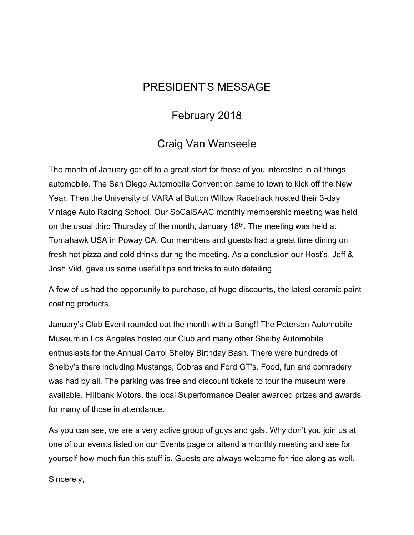## PRESIDENT'S MESSAGE

## February 2018

## Craig Van Wanseele

The month of January got off to a great start for those of you interested in all things automobile. The San Diego Automobile Convention came to town to kick off the New Year. Then the University of VARA at Button Willow Racetrack hosted their 3-day Vintage Auto Racing School. Our SoCalSAAC monthly membership meeting was held on the usual third Thursday of the month, January 18th. The meeting was held at Tomahawk USA in Poway CA. Our members and guests had a great time dining on fresh hot pizza and cold drinks during the meeting. As a conclusion our Host's, Jeff & Josh Vild, gave us some useful tips and tricks to auto detailing.

A few of us had the opportunity to purchase, at huge discounts, the latest ceramic paint coating products.

January's Club Event rounded out the month with a Bang!! The Peterson Automobile Museum in Los Angeles hosted our Club and many other Shelby Automobile enthusiasts for the Annual Carrol Shelby Birthday Bash. There were hundreds of Shelby's there including Mustangs, Cobras and Ford GT's. Food, fun and comradery was had by all. The parking was free and discount tickets to tour the museum were available. Hillbank Motors, the local Superformance Dealer awarded prizes and awards for many of those in attendance.

As you can see, we are a very active group of guys and gals. Why don't you join us at one of our events listed on our Events page or attend a monthly meeting and see for yourself how much fun this stuff is. Guests are always welcome for ride along as well.

Sincerely,